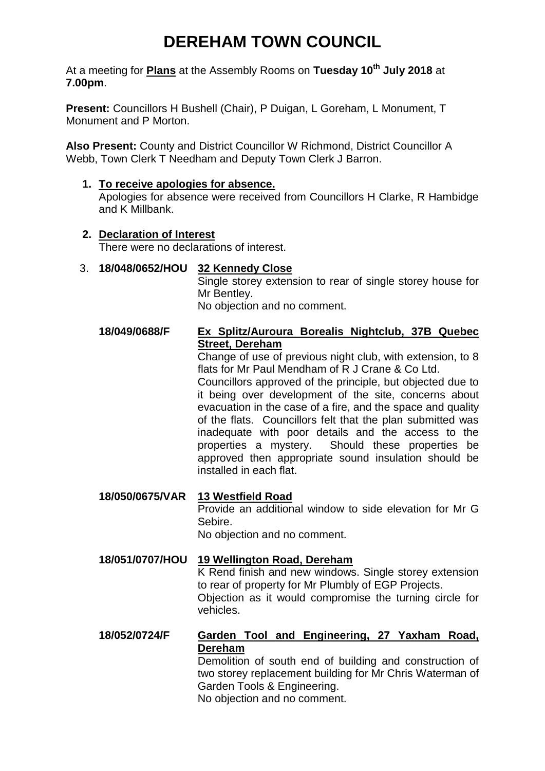# **DEREHAM TOWN COUNCIL**

At a meeting for **Plans** at the Assembly Rooms on **Tuesday 10th July 2018** at **7.00pm**.

**Present:** Councillors H Bushell (Chair), P Duigan, L Goreham, L Monument, T Monument and P Morton.

**Also Present:** County and District Councillor W Richmond, District Councillor A Webb, Town Clerk T Needham and Deputy Town Clerk J Barron.

### **1. To receive apologies for absence.**

Apologies for absence were received from Councillors H Clarke, R Hambidge and K Millbank.

#### **2. Declaration of Interest**

There were no declarations of interest.

## 3. **18/048/0652/HOU 32 Kennedy Close**

Single storey extension to rear of single storey house for Mr Bentley. No objection and no comment.

# **18/049/0688/F Ex Splitz/Auroura Borealis Nightclub, 37B Quebec Street, Dereham**

Change of use of previous night club, with extension, to 8 flats for Mr Paul Mendham of R J Crane & Co Ltd.

Councillors approved of the principle, but objected due to it being over development of the site, concerns about evacuation in the case of a fire, and the space and quality of the flats. Councillors felt that the plan submitted was inadequate with poor details and the access to the properties a mystery. Should these properties be approved then appropriate sound insulation should be installed in each flat.

**18/050/0675/VAR 13 Westfield Road** Provide an additional window to side elevation for Mr G Sebire. No objection and no comment.

# **18/051/0707/HOU 19 Wellington Road, Dereham** K Rend finish and new windows. Single storey extension to rear of property for Mr Plumbly of EGP Projects. Objection as it would compromise the turning circle for vehicles.

# **18/052/0724/F Garden Tool and Engineering, 27 Yaxham Road, Dereham**

Demolition of south end of building and construction of two storey replacement building for Mr Chris Waterman of Garden Tools & Engineering.

No objection and no comment.